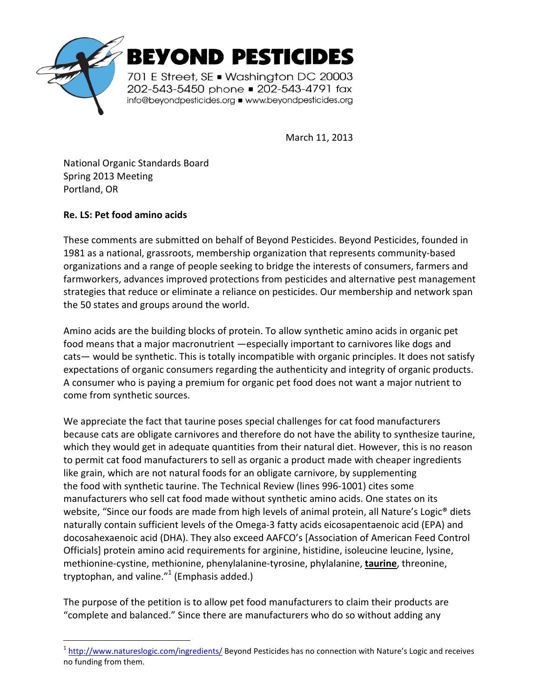

March 11, 2013

National Organic Standards Board Spring 2013 Meeting Portland, OR

## **Re. LS: Pet food amino acids**

.

These comments are submitted on behalf of Beyond Pesticides. Beyond Pesticides, founded in 1981 as a national, grassroots, membership organization that represents community-based organizations and a range of people seeking to bridge the interests of consumers, farmers and farmworkers, advances improved protections from pesticides and alternative pest management strategies that reduce or eliminate a reliance on pesticides. Our membership and network span the 50 states and groups around the world.

Amino acids are the building blocks of protein. To allow synthetic amino acids in organic pet food means that a major macronutrient —especially important to carnivores like dogs and cats— would be synthetic. This is totally incompatible with organic principles. It does not satisfy expectations of organic consumers regarding the authenticity and integrity of organic products. A consumer who is paying a premium for organic pet food does not want a major nutrient to come from synthetic sources.

We appreciate the fact that taurine poses special challenges for cat food manufacturers because cats are obligate carnivores and therefore do not have the ability to synthesize taurine, which they would get in adequate quantities from their natural diet. However, this is no reason to permit cat food manufacturers to sell as organic a product made with cheaper ingredients like grain, which are not natural foods for an obligate carnivore, by supplementing the food with synthetic taurine. The Technical Review (lines 996-1001) cites some manufacturers who sell cat food made without synthetic amino acids. One states on its website, "Since our foods are made from high levels of animal protein, all Nature's Logic<sup>®</sup> diets naturally contain sufficient levels of the Omega-3 fatty acids eicosapentaenoic acid (EPA) and docosahexaenoic acid (DHA). They also exceed AAFCO's [Association of American Feed Control Officials] protein amino acid requirements for arginine, histidine, isoleucine leucine, lysine, methionine-cystine, methionine, phenylalanine-tyrosine, phylalanine, **taurine**, threonine, tryptophan, and valine. $^{\prime\prime}$ 1 (Emphasis added.)

The purpose of the petition is to allow pet food manufacturers to claim their products are "complete and balanced." Since there are manufacturers who do so without adding any

<sup>&</sup>lt;sup>1</sup> http://www.natureslogic.com/ingredients/ Beyond Pesticides has no connection with Nature's Logic and receives no funding from them.